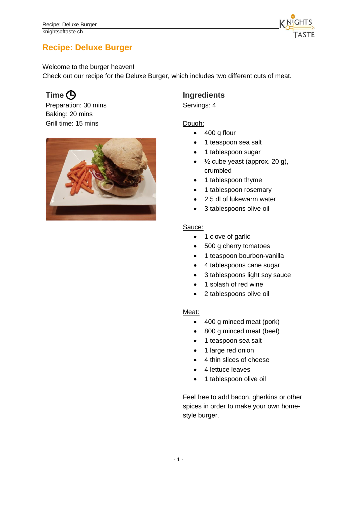

# **Recipe: Deluxe Burger**

Welcome to the burger heaven!

Check out our recipe for the Deluxe Burger, which includes two different cuts of meat.

Preparation: 30 mins Baking: 20 mins Grill time: 15 mins



## **Time**  $\Theta$  **Ingredients**

Servings: 4

### Dough:

- 400 g flour
- 1 teaspoon sea salt
- 1 tablespoon sugar
- $\bullet$   $\frac{1}{2}$  cube yeast (approx. 20 g), crumbled
- 1 tablespoon thyme
- 1 tablespoon rosemary
- 2.5 dl of lukewarm water
- 3 tablespoons olive oil

#### Sauce:

- 1 clove of garlic
- 500 g cherry tomatoes
- 1 teaspoon bourbon-vanilla
- 4 tablespoons cane sugar
- 3 tablespoons light soy sauce
- 1 splash of red wine
- 2 tablespoons olive oil

#### Meat:

- 400 g minced meat (pork)
- 800 g minced meat (beef)
- 1 teaspoon sea salt
- 1 large red onion
- 4 thin slices of cheese
- 4 lettuce leaves
- 1 tablespoon olive oil

Feel free to add bacon, gherkins or other spices in order to make your own homestyle burger.